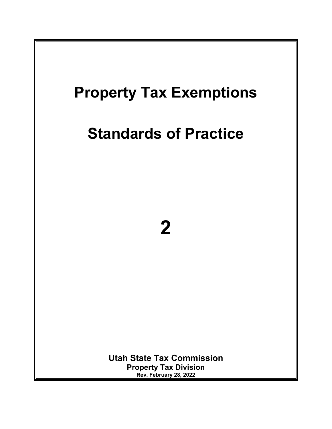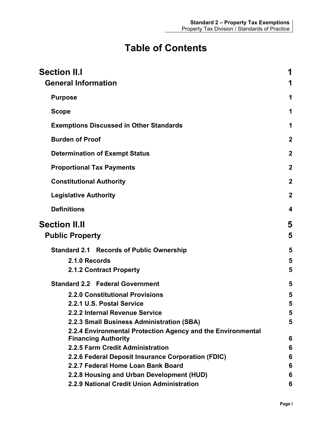# **Table of Contents**

| <b>Section II.I</b><br><b>General Information</b>           | 1                |
|-------------------------------------------------------------|------------------|
| <b>Purpose</b>                                              | 1                |
| <b>Scope</b>                                                | 1                |
| <b>Exemptions Discussed in Other Standards</b>              | 1                |
| <b>Burden of Proof</b>                                      | $\mathbf 2$      |
| <b>Determination of Exempt Status</b>                       | $\mathbf 2$      |
| <b>Proportional Tax Payments</b>                            | $\mathbf{2}$     |
| <b>Constitutional Authority</b>                             | $\boldsymbol{2}$ |
| <b>Legislative Authority</b>                                | $\mathbf 2$      |
| <b>Definitions</b>                                          | 4                |
| <b>Section II.II</b>                                        | 5                |
| <b>Public Property</b>                                      | 5                |
| <b>Standard 2.1 Records of Public Ownership</b>             | 5                |
| 2.1.0 Records                                               | 5                |
| 2.1.2 Contract Property                                     | 5                |
| <b>Standard 2.2 Federal Government</b>                      | 5                |
| <b>2.2.0 Constitutional Provisions</b>                      | 5                |
| 2.2.1 U.S. Postal Service                                   | 5                |
| 2.2.2 Internal Revenue Service                              | 5                |
| 2.2.3 Small Business Administration (SBA)                   | 5                |
| 2.2.4 Environmental Protection Agency and the Environmental |                  |
| <b>Financing Authority</b>                                  | 6                |
| 2.2.5 Farm Credit Administration                            | 6                |
| 2.2.6 Federal Deposit Insurance Corporation (FDIC)          | 6                |
| 2.2.7 Federal Home Loan Bank Board                          | 6                |
| 2.2.8 Housing and Urban Development (HUD)                   | 6                |
| 2.2.9 National Credit Union Administration                  | 6                |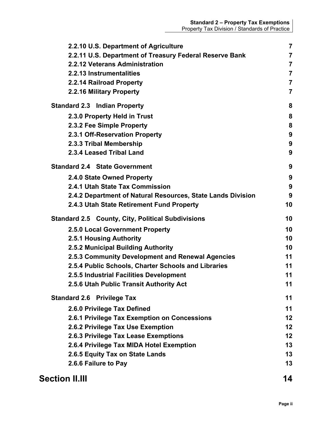| 2.2.12 Veterans Administration                              | $\overline{7}$                   |
|-------------------------------------------------------------|----------------------------------|
| 2.2.13 Instrumentalities                                    | $\overline{7}$<br>$\overline{7}$ |
| 2.2.14 Railroad Property<br>2.2.16 Military Property        | $\overline{\mathbf{7}}$          |
| <b>Standard 2.3 Indian Property</b>                         | 8                                |
| 2.3.0 Property Held in Trust                                | 8                                |
| 2.3.2 Fee Simple Property                                   | 8                                |
| 2.3.1 Off-Reservation Property                              | 9                                |
| 2.3.3 Tribal Membership                                     | 9                                |
| 2.3.4 Leased Tribal Land                                    | 9                                |
| <b>Standard 2.4 State Government</b>                        | 9                                |
| 2.4.0 State Owned Property                                  | 9                                |
| 2.4.1 Utah State Tax Commission                             | 9                                |
| 2.4.2 Department of Natural Resources, State Lands Division | 9                                |
| 2.4.3 Utah State Retirement Fund Property                   | 10                               |
| <b>Standard 2.5 County, City, Political Subdivisions</b>    | 10                               |
| 2.5.0 Local Government Property                             | 10                               |
| 2.5.1 Housing Authority                                     | 10                               |
| 2.5.2 Municipal Building Authority                          | 10                               |
| 2.5.3 Community Development and Renewal Agencies            | 11                               |
| 2.5.4 Public Schools, Charter Schools and Libraries         | 11                               |
| 2.5.5 Industrial Facilities Development                     | 11                               |
| 2.5.6 Utah Public Transit Authority Act                     | 11                               |
| <b>Standard 2.6 Privilege Tax</b>                           | 11                               |
| 2.6.0 Privilege Tax Defined                                 | 11                               |
| 2.6.1 Privilege Tax Exemption on Concessions                | 12                               |
| 2.6.2 Privilege Tax Use Exemption                           | 12                               |
| 2.6.3 Privilege Tax Lease Exemptions                        | 12                               |
| 2.6.4 Privilege Tax MIDA Hotel Exemption                    | 13                               |
| 2.6.5 Equity Tax on State Lands                             | 13                               |
| 2.6.6 Failure to Pay                                        | 13                               |
| <b>Section II.III</b>                                       | 14                               |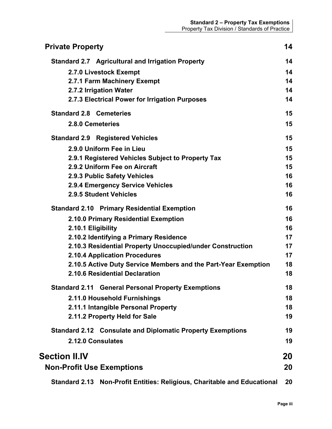| <b>Private Property</b>                                                     | 14 |
|-----------------------------------------------------------------------------|----|
| <b>Standard 2.7 Agricultural and Irrigation Property</b>                    | 14 |
| 2.7.0 Livestock Exempt                                                      | 14 |
| 2.7.1 Farm Machinery Exempt                                                 | 14 |
| 2.7.2 Irrigation Water                                                      | 14 |
| 2.7.3 Electrical Power for Irrigation Purposes                              | 14 |
| <b>Standard 2.8 Cemeteries</b>                                              | 15 |
| 2.8.0 Cemeteries                                                            | 15 |
| <b>Standard 2.9 Registered Vehicles</b>                                     | 15 |
| 2.9.0 Uniform Fee in Lieu                                                   | 15 |
| 2.9.1 Registered Vehicles Subject to Property Tax                           | 15 |
| 2.9.2 Uniform Fee on Aircraft                                               | 15 |
| 2.9.3 Public Safety Vehicles                                                | 16 |
| 2.9.4 Emergency Service Vehicles                                            | 16 |
| 2.9.5 Student Vehicles                                                      | 16 |
| <b>Standard 2.10 Primary Residential Exemption</b>                          | 16 |
| 2.10.0 Primary Residential Exemption                                        | 16 |
| 2.10.1 Eligibility                                                          | 16 |
| 2.10.2 Identifying a Primary Residence                                      | 17 |
| 2.10.3 Residential Property Unoccupied/under Construction                   | 17 |
| 2.10.4 Application Procedures                                               | 17 |
| 2.10.5 Active Duty Service Members and the Part-Year Exemption              | 18 |
| 2.10.6 Residential Declaration                                              | 18 |
| <b>Standard 2.11</b><br><b>General Personal Property Exemptions</b>         | 18 |
| 2.11.0 Household Furnishings                                                | 18 |
| 2.11.1 Intangible Personal Property                                         | 18 |
| 2.11.2 Property Held for Sale                                               | 19 |
| <b>Standard 2.12 Consulate and Diplomatic Property Exemptions</b>           | 19 |
| 2.12.0 Consulates                                                           | 19 |
| <b>Section II.IV</b>                                                        | 20 |
| <b>Non-Profit Use Exemptions</b>                                            | 20 |
| Non-Profit Entities: Religious, Charitable and Educational<br>Standard 2.13 | 20 |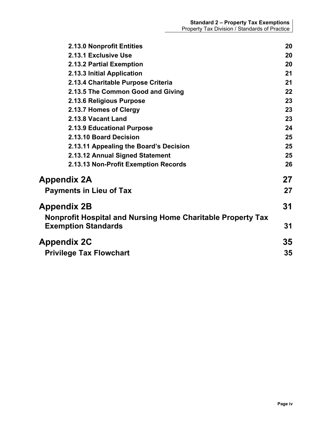| 2.13.0 Nonprofit Entities                                   | 20 |
|-------------------------------------------------------------|----|
| 2.13.1 Exclusive Use                                        | 20 |
| 2.13.2 Partial Exemption                                    | 20 |
| 2.13.3 Initial Application                                  | 21 |
| 2.13.4 Charitable Purpose Criteria                          | 21 |
| 2.13.5 The Common Good and Giving                           | 22 |
| 2.13.6 Religious Purpose                                    | 23 |
| 2.13.7 Homes of Clergy                                      | 23 |
| 2.13.8 Vacant Land                                          | 23 |
| 2.13.9 Educational Purpose                                  | 24 |
| 2.13.10 Board Decision                                      | 25 |
| 2.13.11 Appealing the Board's Decision                      | 25 |
| 2.13.12 Annual Signed Statement                             | 25 |
| 2.13.13 Non-Profit Exemption Records                        | 26 |
| Appendix 2A                                                 | 27 |
| <b>Payments in Lieu of Tax</b>                              | 27 |
| Appendix 2B                                                 | 31 |
| Nonprofit Hospital and Nursing Home Charitable Property Tax |    |
| <b>Exemption Standards</b>                                  | 31 |
| <b>Appendix 2C</b>                                          | 35 |
| <b>Privilege Tax Flowchart</b>                              | 35 |
|                                                             |    |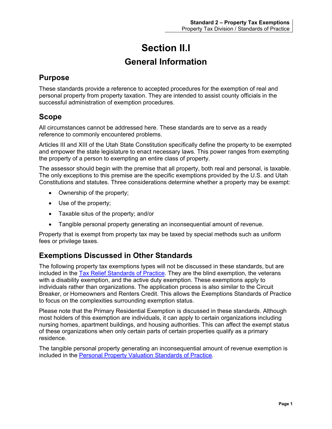# **Section II.I General Information**

# <span id="page-5-2"></span><span id="page-5-1"></span><span id="page-5-0"></span>**Purpose**

These standards provide a reference to accepted procedures for the exemption of real and personal property from property taxation. They are intended to assist county officials in the successful administration of exemption procedures.

# <span id="page-5-3"></span>**Scope**

All circumstances cannot be addressed here. These standards are to serve as a ready reference to commonly encountered problems.

Articles III and XIII of the Utah State Constitution specifically define the property to be exempted and empower the state legislature to enact necessary laws. This power ranges from exempting the property of a person to exempting an entire class of property.

The assessor should begin with the premise that all property, both real and personal, is taxable. The only exceptions to this premise are the specific exemptions provided by the U.S. and Utah Constitutions and statutes. Three considerations determine whether a property may be exempt:

- Ownership of the property;
- Use of the property;
- Taxable situs of the property; and/or
- Tangible personal property generating an inconsequential amount of revenue.

Property that is exempt from property tax may be taxed by special methods such as uniform fees or privilege taxes.

# <span id="page-5-4"></span>**Exemptions Discussed in Other Standards**

The following property tax exemptions types will not be discussed in these standards, but are included in the [Tax Relief Standards](http://propertytax.utah.gov/standards/standard03.pdf) of Practice. They are the blind exemption, the veterans with a disability exemption, and the active duty exemption. These exemptions apply to individuals rather than organizations. The application process is also similar to the Circuit Breaker, or Homeowners and Renters Credit. This allows the Exemptions Standards of Practice to focus on the complexities surrounding exemption status.

Please note that the Primary Residential Exemption is discussed in these standards. Although most holders of this exemption are individuals, it can apply to certain organizations including nursing homes, apartment buildings, and housing authorities. This can affect the exempt status of these organizations when only certain parts of certain properties qualify as a primary residence.

The tangible personal property generating an inconsequential amount of revenue exemption is included in the [Personal Property Valuation Standards of Practice.](http://propertytax.utah.gov/standards/standard05.pdf)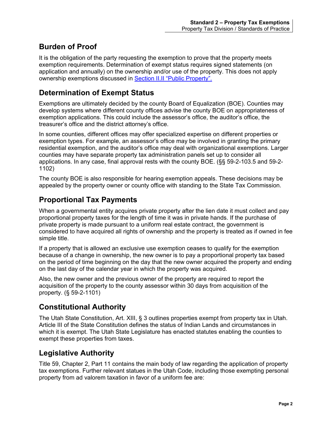# <span id="page-6-0"></span>**Burden of Proof**

It is the obligation of the party requesting the exemption to prove that the property meets exemption requirements. Determination of exempt status requires signed statements (on application and annually) on the ownership and/or use of the property. This does not apply ownership exemptions discussed in Section [II.II "Public Property".](#page-8-1)

# <span id="page-6-1"></span>**Determination of Exempt Status**

Exemptions are ultimately decided by the county Board of Equalization (BOE). Counties may develop systems where different county offices advise the county BOE on appropriateness of exemption applications. This could include the assessor's office, the auditor's office, the treasurer's office and the district attorney's office.

In some counties, different offices may offer specialized expertise on different properties or exemption types. For example, an assessor's office may be involved in granting the primary residential exemption, and the auditor's office may deal with organizational exemptions. Larger counties may have separate property tax administration panels set up to consider all applications. In any case, final approval rests with the county BOE. (§§ 59-2-103.5 and 59-2- 1102)

The county BOE is also responsible for hearing exemption appeals. These decisions may be appealed by the property owner or county office with standing to the State Tax Commission.

# <span id="page-6-2"></span>**Proportional Tax Payments**

When a governmental entity acquires private property after the lien date it must collect and pay proportional property taxes for the length of time it was in private hands. If the purchase of private property is made pursuant to a uniform real estate contract, the government is considered to have acquired all rights of ownership and the property is treated as if owned in fee simple title.

If a property that is allowed an exclusive use exemption ceases to qualify for the exemption because of a change in ownership, the new owner is to pay a proportional property tax based on the period of time beginning on the day that the new owner acquired the property and ending on the last day of the calendar year in which the property was acquired.

Also, the new owner and the previous owner of the property are required to report the acquisition of the property to the county assessor within 30 days from acquisition of the property. (§ 59-2-1101)

# <span id="page-6-3"></span>**Constitutional Authority**

The Utah State Constitution, Art. XIII, § 3 outlines properties exempt from property tax in Utah. Article III of the State Constitution defines the status of Indian Lands and circumstances in which it is exempt. The Utah State Legislature has enacted statutes enabling the counties to exempt these properties from taxes.

# <span id="page-6-4"></span>**Legislative Authority**

Title 59, Chapter 2, Part 11 contains the main body of law regarding the application of property tax exemptions. Further relevant statues in the Utah Code, including those exempting personal property from ad valorem taxation in favor of a uniform fee are: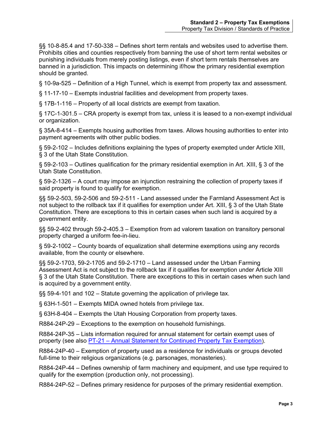§§ 10-8-85.4 and 17-50-338 – Defines short term rentals and websites used to advertise them. Prohibits cities and counties respectively from banning the use of short term rental websites or punishing individuals from merely posting listings, even if short term rentals themselves are banned in a jurisdiction. This impacts on determining if/how the primary residential exemption should be granted.

§ 10-9a-525 – Definition of a High Tunnel, which is exempt from property tax and assessment.

§ 11-17-10 – Exempts industrial facilities and development from property taxes.

§ 17B-1-116 – Property of all local districts are exempt from taxation.

§ 17C-1-301.5 – CRA property is exempt from tax, unless it is leased to a non-exempt individual or organization.

§ 35A-8-414 – Exempts housing authorities from taxes. Allows housing authorities to enter into payment agreements with other public bodies.

§ 59-2-102 – Includes definitions explaining the types of property exempted under Article XIII, § 3 of the Utah State Constitution.

§ 59-2-103 – Outlines qualification for the primary residential exemption in Art. XIII, § 3 of the Utah State Constitution.

§ 59-2-1326 – A court may impose an injunction restraining the collection of property taxes if said property is found to qualify for exemption.

§§ 59-2-503, 59-2-506 and 59-2-511 - Land assessed under the Farmland Assessment Act is not subject to the rollback tax if it qualifies for exemption under Art. XIII, § 3 of the Utah State Constitution. There are exceptions to this in certain cases when such land is acquired by a government entity.

§§ 59-2-402 through 59-2-405.3 – Exemption from ad valorem taxation on transitory personal property charged a uniform fee-in-lieu.

§ 59-2-1002 – County boards of equalization shall determine exemptions using any records available, from the county or elsewhere.

§§ 59-2-1703, 59-2-1705 and 59-2-1710 – Land assessed under the Urban Farming Assessment Act is not subject to the rollback tax if it qualifies for exemption under Article XIII § 3 of the Utah State Constitution. There are exceptions to this in certain cases when such land is acquired by a government entity.

§§ 59-4-101 and 102 – Statute governing the application of privilege tax.

§ 63H-1-501 – Exempts MIDA owned hotels from privilege tax.

§ 63H-8-404 – Exempts the Utah Housing Corporation from property taxes.

R884-24P-29 – Exceptions to the exemption on household furnishings.

R884-24P-35 – Lists information required for annual statement for certain exempt uses of property (see also PT-21 – [Annual Statement for Continued Property Tax Exemption\)](http://propertytax.utah.gov/form/pt-021.pdf).

R884-24P-40 – Exemption of property used as a residence for individuals or groups devoted full-time to their religious organizations (e.g. parsonages, monasteries).

R884-24P-44 – Defines ownership of farm machinery and equipment, and use type required to qualify for the exemption (production only, not processing).

R884-24P-52 – Defines primary residence for purposes of the primary residential exemption.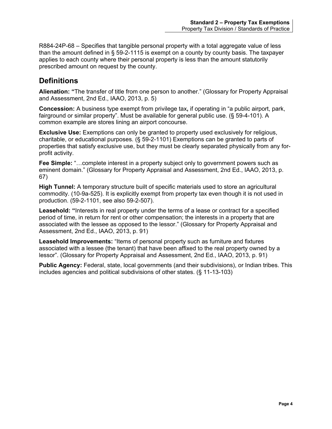R884-24P-68 – Specifies that tangible personal property with a total aggregate value of less than the amount defined in § 59-2-1115 is exempt on a county by county basis. The taxpayer applies to each county where their personal property is less than the amount statutorily prescribed amount on request by the county.

# <span id="page-8-0"></span>**Definitions**

**Alienation: "**The transfer of title from one person to another." (Glossary for Property Appraisal and Assessment, 2nd Ed., IAAO, 2013, p. 5)

**Concession:** A business type exempt from privilege tax**,** if operating in "a public airport, park, fairground or similar property". Must be available for general public use. (§ 59-4-101). A common example are stores lining an airport concourse.

**Exclusive Use:** Exemptions can only be granted to property used exclusively for religious, charitable, or educational purposes. (§ 59-2-1101) Exemptions can be granted to parts of properties that satisfy exclusive use, but they must be clearly separated physically from any forprofit activity.

**Fee Simple:** "…complete interest in a property subject only to government powers such as eminent domain." (Glossary for Property Appraisal and Assessment, 2nd Ed., IAAO, 2013, p. 67)

**High Tunnel:** A temporary structure built of specific materials used to store an agricultural commodity. (10-9a-525). It is explicitly exempt from property tax even though it is not used in production. (59-2-1101, see also 59-2-507).

**Leasehold: "**Interests in real property under the terms of a lease or contract for a specified period of time, in return for rent or other compensation; the interests in a property that are associated with the lessee as opposed to the lessor." (Glossary for Property Appraisal and Assessment, 2nd Ed., IAAO, 2013, p. 91)

Leasehold Improvements: "Items of personal property such as furniture and fixtures associated with a lessee (the tenant) that have been affixed to the real property owned by a lessor". (Glossary for Property Appraisal and Assessment, 2nd Ed., IAAO, 2013, p. 91)

<span id="page-8-1"></span>**Public Agency:** Federal, state, local governments (and their subdivisions), or Indian tribes. This includes agencies and political subdivisions of other states. (§ 11-13-103)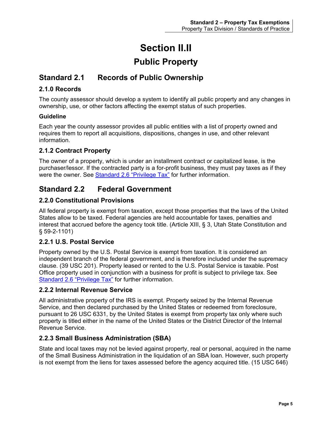# **Section II.II Public Property**

# <span id="page-9-2"></span><span id="page-9-1"></span><span id="page-9-0"></span>**Standard 2.1 Records of Public Ownership**

# <span id="page-9-3"></span>**2.1.0 Records**

The county assessor should develop a system to identify all public property and any changes in ownership, use, or other factors affecting the exempt status of such properties.

#### **Guideline**

Each year the county assessor provides all public entities with a list of property owned and requires them to report all acquisitions, dispositions, changes in use, and other relevant information.

# <span id="page-9-4"></span>**2.1.2 Contract Property**

The owner of a property, which is under an installment contract or capitalized lease, is the purchaser/lessor. If the contracted party is a for-profit business, they must pay taxes as if they were the owner. See Standard 2.6 ["Privilege Tax"](#page-15-4) for further information.

# <span id="page-9-5"></span>**Standard 2.2 Federal Government**

# <span id="page-9-6"></span>**2.2.0 Constitutional Provisions**

All federal property is exempt from taxation, except those properties that the laws of the United States allow to be taxed. Federal agencies are held accountable for taxes, penalties and interest that accrued before the agency took title. (Article XIII, § 3, Utah State Constitution and § 59-2-1101)

## <span id="page-9-7"></span>**2.2.1 U.S. Postal Service**

Property owned by the U.S. Postal Service is exempt from taxation. It is considered an independent branch of the federal government, and is therefore included under the supremacy clause. (39 USC 201). Property leased or rented to the U.S. Postal Service is taxable. Post Office property used in conjunction with a business for profit is subject to privilege tax. See Standard 2.6 ["Privilege Tax"](#page-15-4) for further information.

## <span id="page-9-8"></span>**2.2.2 Internal Revenue Service**

All administrative property of the IRS is exempt. Property seized by the Internal Revenue Service, and then declared purchased by the United States or redeemed from foreclosure, pursuant to 26 USC 6331, by the United States is exempt from property tax only where such property is titled either in the name of the United States or the District Director of the Internal Revenue Service.

## <span id="page-9-9"></span>**2.2.3 Small Business Administration (SBA)**

State and local taxes may not be levied against property, real or personal, acquired in the name of the Small Business Administration in the liquidation of an SBA loan. However, such property is not exempt from the liens for taxes assessed before the agency acquired title. (15 USC 646)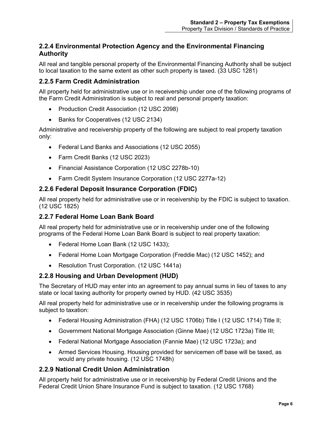# <span id="page-10-0"></span>**2.2.4 Environmental Protection Agency and the Environmental Financing Authority**

All real and tangible personal property of the Environmental Financing Authority shall be subject to local taxation to the same extent as other such property is taxed. (33 USC 1281)

# <span id="page-10-1"></span>**2.2.5 Farm Credit Administration**

All property held for administrative use or in receivership under one of the following programs of the Farm Credit Administration is subject to real and personal property taxation:

- Production Credit Association (12 USC 2098)
- Banks for Cooperatives (12 USC 2134)

Administrative and receivership property of the following are subject to real property taxation only:

- Federal Land Banks and Associations (12 USC 2055)
- Farm Credit Banks (12 USC 2023)
- Financial Assistance Corporation (12 USC 2278b-10)
- Farm Credit System Insurance Corporation (12 USC 2277a-12)

## <span id="page-10-2"></span>**2.2.6 Federal Deposit Insurance Corporation (FDIC)**

All real property held for administrative use or in receivership by the FDIC is subject to taxation. (12 USC 1825)

## <span id="page-10-3"></span>**2.2.7 Federal Home Loan Bank Board**

All real property held for administrative use or in receivership under one of the following programs of the Federal Home Loan Bank Board is subject to real property taxation:

- Federal Home Loan Bank (12 USC 1433);
- Federal Home Loan Mortgage Corporation (Freddie Mac) (12 USC 1452); and
- Resolution Trust Corporation. (12 USC 1441a)

## <span id="page-10-4"></span>**2.2.8 Housing and Urban Development (HUD)**

The Secretary of HUD may enter into an agreement to pay annual sums in lieu of taxes to any state or local taxing authority for property owned by HUD. (42 USC 3535)

All real property held for administrative use or in receivership under the following programs is subject to taxation:

- Federal Housing Administration (FHA) (12 USC 1706b) Title I (12 USC 1714) Title II;
- Government National Mortgage Association (Ginne Mae) (12 USC 1723a) Title III;
- Federal National Mortgage Association (Fannie Mae) (12 USC 1723a); and
- Armed Services Housing. Housing provided for servicemen off base will be taxed, as would any private housing. (12 USC 1748h)

## <span id="page-10-5"></span>**2.2.9 National Credit Union Administration**

All property held for administrative use or in receivership by Federal Credit Unions and the Federal Credit Union Share Insurance Fund is subject to taxation. (12 USC 1768)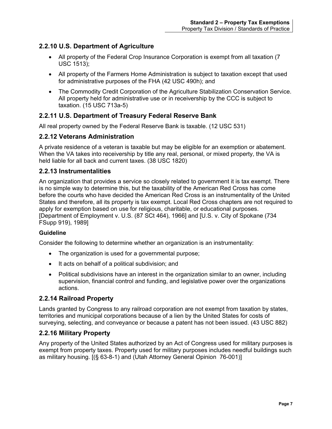# <span id="page-11-0"></span>**2.2.10 U.S. Department of Agriculture**

- All property of the Federal Crop Insurance Corporation is exempt from all taxation (7) USC 1513);
- All property of the Farmers Home Administration is subject to taxation except that used for administrative purposes of the FHA (42 USC 490h); and
- The Commodity Credit Corporation of the Agriculture Stabilization Conservation Service. All property held for administrative use or in receivership by the CCC is subject to taxation. (15 USC 713a-5)

# <span id="page-11-1"></span>**2.2.11 U.S. Department of Treasury Federal Reserve Bank**

All real property owned by the Federal Reserve Bank is taxable. (12 USC 531)

## <span id="page-11-2"></span>**2.2.12 Veterans Administration**

A private residence of a veteran is taxable but may be eligible for an exemption or abatement. When the VA takes into receivership by title any real, personal, or mixed property, the VA is held liable for all back and current taxes. (38 USC 1820)

## <span id="page-11-3"></span>**2.2.13 Instrumentalities**

An organization that provides a service so closely related to government it is tax exempt. There is no simple way to determine this, but the taxability of the American Red Cross has come before the courts who have decided the American Red Cross is an instrumentality of the United States and therefore, all its property is tax exempt. Local Red Cross chapters are not required to apply for exemption based on use for religious, charitable, or educational purposes. [Department of Employment v. U.S. (87 SCt 464), 1966] and [U.S. v. City of Spokane (734 FSupp 919), 1989]

#### **Guideline**

Consider the following to determine whether an organization is an instrumentality:

- The organization is used for a governmental purpose;
- It acts on behalf of a political subdivision; and
- Political subdivisions have an interest in the organization similar to an owner, including supervision, financial control and funding, and legislative power over the organizations actions.

## <span id="page-11-4"></span>**2.2.14 Railroad Property**

Lands granted by Congress to any railroad corporation are not exempt from taxation by states, territories and municipal corporations because of a lien by the United States for costs of surveying, selecting, and conveyance or because a patent has not been issued. (43 USC 882)

# <span id="page-11-5"></span>**2.2.16 Military Property**

Any property of the United States authorized by an Act of Congress used for military purposes is exempt from property taxes. Property used for military purposes includes needful buildings such as military housing. [(§ 63-8-1) and (Utah Attorney General Opinion 76-001)]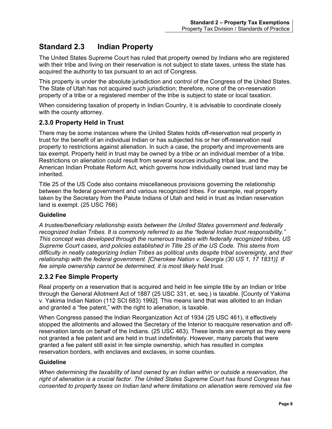# <span id="page-12-0"></span>**Standard 2.3 Indian Property**

The United States Supreme Court has ruled that property owned by Indians who are registered with their tribe and living on their reservation is not subject to state taxes, unless the state has acquired the authority to tax pursuant to an act of Congress.

This property is under the absolute jurisdiction and control of the Congress of the United States. The State of Utah has not acquired such jurisdiction; therefore, none of the on-reservation property of a tribe or a registered member of the tribe is subject to state or local taxation.

When considering taxation of property in Indian Country, it is advisable to coordinate closely with the county attorney.

# <span id="page-12-1"></span>**2.3.0 Property Held in Trust**

There may be some instances where the United States holds off-reservation real property in trust for the benefit of an individual Indian or has subjected his or her off-reservation real property to restrictions against alienation. In such a case, the property and improvements are tax exempt. Property held in trust may be owned by a tribe or an individual member of a tribe. Restrictions on alienation could result from several sources including tribal law, and the American Indian Probate Reform Act, which governs how individually owned trust land may be inherited.

Title 25 of the US Code also contains miscellaneous provisions governing the relationship between the federal government and various recognized tribes. For example, real property taken by the Secretary from the Paiute Indians of Utah and held in trust as Indian reservation land is exempt. (25 USC 766)

#### **Guideline**

*A trustee/beneficiary relationship exists between the United States government and federally recognized Indian Tribes. It is commonly referred to as the "federal Indian trust responsibility." This concept was developed through the numerous treaties with federally recognized tribes, US Supreme Court cases, and policies established in Title 25 of the US Code. This stems from difficulty in neatly categorizing Indian Tribes as political units despite tribal sovereignty, and their relationship with the federal government. [Cherokee Nation v. Georgia (30 US 1, 17 1831)]. If fee simple ownership cannot be determined, it is most likely held trust.* 

## <span id="page-12-2"></span>**2.3.2 Fee Simple Property**

Real property on a reservation that is acquired and held in fee simple title by an Indian or tribe through the General Allotment Act of 1887 (25 USC 331, et. seq.) is taxable. [County of Yakima v. Yakima Indian Nation (112 SCt 683) 1992]. This means land that was allotted to an Indian and granted a "fee patent," with the right to alienation, is taxable.

When Congress passed the Indian Reorganization Act of 1934 (25 USC 461), it effectively stopped the allotments and allowed the Secretary of the Interior to reacquire reservation and offreservation lands on behalf of the Indians. (25 USC 463). These lands are exempt as they were not granted a fee patent and are held in trust indefinitely. However, many parcels that were granted a fee patent still exist in fee simple ownership, which has resulted in complex reservation borders, with enclaves and exclaves, in some counties.

#### **Guideline**

*When determining the taxability of land owned by an Indian within or outside a reservation, the right of alienation is a crucial factor. The United States Supreme Court has found Congress has consented to property taxes on Indian land where limitations on alienation were removed via fee*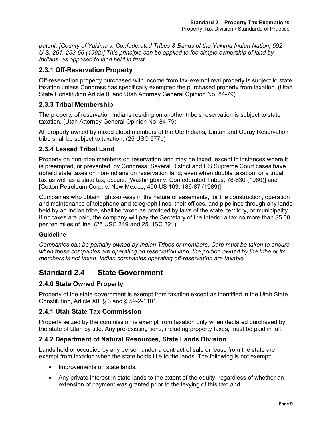*patent. [County of Yakima v. Confederated Tribes & Bands of the Yakima Indian Nation, 502 U.S. 251, 253-56 (1992)] This principle can be applied to fee simple ownership of land by Indians, as opposed to land held in trust.*

## <span id="page-13-0"></span>**2.3.1 Off-Reservation Property**

Off-reservation property purchased with income from tax-exempt real property is subject to state taxation unless Congress has specifically exempted the purchased property from taxation. (Utah State Constitution Article III and Utah Attorney General Opinion No. 84-79)

## <span id="page-13-1"></span>**2.3.3 Tribal Membership**

The property of reservation Indians residing on another tribe's reservation is subject to state taxation. (Utah Attorney General Opinion No. 84-79)

All property owned by mixed blood members of the Ute Indians, Uintah and Ouray Reservation tribe shall be subject to taxation. (25 USC 677p)

## <span id="page-13-2"></span>**2.3.4 Leased Tribal Land**

Property on non-tribe members on reservation land may be taxed, except in instances where it is preempted, or prevented, by Congress. Several District and US Supreme Court cases have upheld state taxes on non-Indians on reservation land; even when double taxation, or a tribal tax as well as a state tax, occurs. [Washington v. Confederated Tribes, 78-630 (1980)] and [Cotton Petroleum Corp. v. New Mexico, 490 US 163, 186-87 (1989)]

Companies who obtain rights-of-way in the nature of easements, for the construction, operation and maintenance of telephone and telegraph lines, their offices, and pipelines through any lands held by an Indian tribe, shall be taxed as provided by laws of the state, territory, or municipality. If no taxes are paid, the company will pay the Secretary of the Interior a tax no more than \$5.00 per ten miles of line. (25 USC 319 and 25 USC 321)

#### **Guideline**

*Companies can be partially owned by Indian Tribes or members. Care must be taken to ensure when these companies are operating on reservation land, the portion owned by the tribe or its members is not taxed. Indian companies operating off-reservation are taxable.*

# <span id="page-13-3"></span>**Standard 2.4 State Government**

## <span id="page-13-4"></span>**2.4.0 State Owned Property**

Property of the state government is exempt from taxation except as identified in the Utah State Constitution, Article XIII § 3 and § 59-2-1101.

## <span id="page-13-5"></span>**2.4.1 Utah State Tax Commission**

Property seized by the commission is exempt from taxation only when declared purchased by the state of Utah by title. Any pre-existing liens, including property taxes, must be paid in full.

## <span id="page-13-6"></span>**2.4.2 Department of Natural Resources, State Lands Division**

Lands held or occupied by any person under a contract of sale or lease from the state are exempt from taxation when the state holds title to the lands. The following is not exempt:

- Improvements on state lands;
- Any private interest in state lands to the extent of the equity, regardless of whether an extension of payment was granted prior to the levying of this tax; and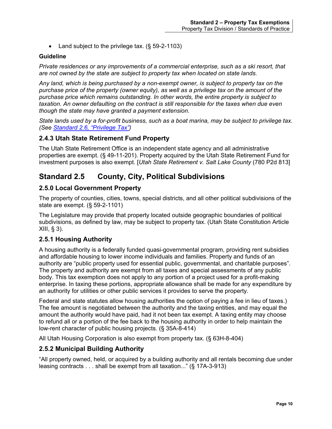• Land subject to the privilege tax. (§ 59-2-1103)

#### **Guideline**

*Private residences or any improvements of a commercial enterprise, such as a ski resort, that are not owned by the state are subject to property tax when located on state lands.*

*Any land, which is being purchased by a non-exempt owner, is subject to property tax on the purchase price of the property (owner equity), as well as a privilege tax on the amount of the purchase price which remains outstanding. In other words, the entire property is subject to taxation. An owner defaulting on the contract is still responsible for the taxes when due even though the state may have granted a payment extension.*

*State lands used by a for-profit business, such as a boat marina, may be subject to privilege tax. (See [Standard 2.6, "Privilege Tax"\)](#page-15-4)*

## <span id="page-14-0"></span>**2.4.3 Utah State Retirement Fund Property**

The Utah State Retirement Office is an independent state agency and all administrative properties are exempt. (§ 49-11-201). Property acquired by the Utah State Retirement Fund for investment purposes is also exempt. [*Utah State Retirement v. Salt Lake County* (780 P2d 813]

# <span id="page-14-1"></span>**Standard 2.5 County, City, Political Subdivisions**

#### <span id="page-14-2"></span>**2.5.0 Local Government Property**

The property of counties, cities, towns, special districts, and all other political subdivisions of the state are exempt. (§ 59-2-1101)

The Legislature may provide that property located outside geographic boundaries of political subdivisions, as defined by law, may be subject to property tax. (Utah State Constitution Article XIII, § 3).

## <span id="page-14-3"></span>**2.5.1 Housing Authority**

A housing authority is a federally funded quasi-governmental program, providing rent subsidies and affordable housing to lower income individuals and families. Property and funds of an authority are "public property used for essential public, governmental, and charitable purposes". The property and authority are exempt from all taxes and special assessments of any public body. This tax exemption does not apply to any portion of a project used for a profit-making enterprise. In taxing these portions, appropriate allowance shall be made for any expenditure by an authority for utilities or other public services it provides to serve the property.

Federal and state statutes allow housing authorities the option of paying a fee in lieu of taxes.) The fee amount is negotiated between the authority and the taxing entities, and may equal the amount the authority would have paid, had it not been tax exempt. A taxing entity may choose to refund all or a portion of the fee back to the housing authority in order to help maintain the low-rent character of public housing projects. (§ 35A-8-414)

All Utah Housing Corporation is also exempt from property tax. (§ 63H-8-404)

## <span id="page-14-4"></span>**2.5.2 Municipal Building Authority**

"All property owned, held, or acquired by a building authority and all rentals becoming due under leasing contracts . . . shall be exempt from all taxation..." (§ 17A-3-913)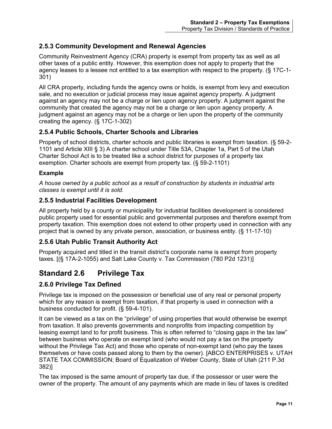# <span id="page-15-0"></span>**2.5.3 Community Development and Renewal Agencies**

Community Reinvestment Agency (CRA) property is exempt from property tax as well as all other taxes of a public entity. However, this exemption does not apply to property that the agency leases to a lessee not entitled to a tax exemption with respect to the property. (§ 17C-1- 301)

All CRA property, including funds the agency owns or holds, is exempt from levy and execution sale, and no execution or judicial process may issue against agency property. A judgment against an agency may not be a charge or lien upon agency property. A judgment against the community that created the agency may not be a charge or lien upon agency property. A judgment against an agency may not be a charge or lien upon the property of the community creating the agency. (§ 17C-1-302)

# <span id="page-15-1"></span>**2.5.4 Public Schools, Charter Schools and Libraries**

Property of school districts, charter schools and public libraries is exempt from taxation. (§ 59-2- 1101 and Article XIII § 3) A charter school under Title 53A, Chapter 1a, Part 5 of the Utah Charter School Act is to be treated like a school district for purposes of a property tax exemption. Charter schools are exempt from property tax. (§ 59-2-1101)

#### **Example**

*A house owned by a public school as a result of construction by students in industrial arts classes is exempt until it is sold.*

# <span id="page-15-2"></span>**2.5.5 Industrial Facilities Development**

All property held by a county or municipality for industrial facilities development is considered public property used for essential public and governmental purposes and therefore exempt from property taxation. This exemption does not extend to other property used in connection with any project that is owned by any private person, association, or business entity. (§ 11-17-10)

## <span id="page-15-3"></span>**2.5.6 Utah Public Transit Authority Act**

Property acquired and titled in the transit district's corporate name is exempt from property taxes. [(§ 17A-2-1055) and Salt Lake County v. Tax Commission (780 P2d 1231)]

# <span id="page-15-4"></span>**Standard 2.6 Privilege Tax**

## <span id="page-15-5"></span>**2.6.0 Privilege Tax Defined**

Privilege tax is imposed on the possession or beneficial use of any real or personal property which for any reason is exempt from taxation, if that property is used in connection with a business conducted for profit. (§ 59-4-101).

It can be viewed as a tax on the "privilege" of using properties that would otherwise be exempt from taxation. It also prevents governments and nonprofits from impacting competition by leasing exempt land to for profit business. This is often referred to "closing gaps in the tax law" between business who operate on exempt land (who would not pay a tax on the property without the Privilege Tax Act) and those who operate of non-exempt land (who pay the taxes themselves or have costs passed along to them by the owner). [ABCO ENTERPRISES v. UTAH STATE TAX COMMISSION; Board of Equalization of Weber County, State of Utah (211 P.3d 382)]

The tax imposed is the same amount of property tax due, if the possessor or user were the owner of the property. The amount of any payments which are made in lieu of taxes is credited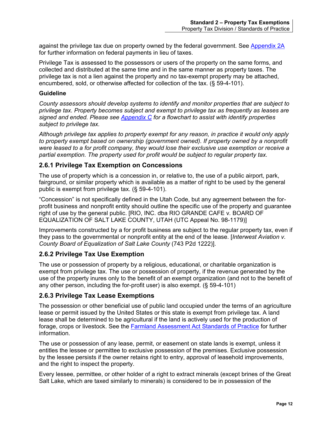against the privilege tax due on property owned by the federal government. See [Appendix 2A](#page-30-1) for further information on federal payments in lieu of taxes.

Privilege Tax is assessed to the possessors or users of the property on the same forms, and collected and distributed at the same time and in the same manner as property taxes. The privilege tax is not a lien against the property and no tax-exempt property may be attached, encumbered, sold, or otherwise affected for collection of the tax. (§ 59-4-101).

#### **Guideline**

*County assessors should develop systems to identify and monitor properties that are subject to privilege tax. Property becomes subject and exempt to privilege tax as frequently as leases are signed and ended. Please see [Appendix C](#page-38-0) for a flowchart to assist with identify properties subject to privilege tax.*

*Although privilege tax applies to property exempt for any reason, in practice it would only apply to property exempt based on ownership (government owned). If property owned by a nonprofit were leased to a for profit company, they would lose their exclusive use exemption or receive a partial exemption. The property used for profit would be subject to regular property tax.*

#### <span id="page-16-0"></span>**2.6.1 Privilege Tax Exemption on Concessions**

The use of property which is a concession in, or relative to, the use of a public airport, park, fairground, or similar property which is available as a matter of right to be used by the general public is exempt from privilege tax. (§ 59-4-101).

"Concession" is not specifically defined in the Utah Code, but any agreement between the forprofit business and nonprofit entity should outline the specific use of the property and guarantee right of use by the general public. [RIO, INC. dba RIO GRANDE CAFE v*.* BOARD OF EQUALIZATION OF SALT LAKE COUNTY, UTAH (UTC Appeal No. 98-1179)]

Improvements constructed by a for profit business are subject to the regular property tax, even if they pass to the governmental or nonprofit entity at the end of the lease. [*Interwest Aviation v. County Board of Equalization of Salt Lake County* (743 P2d 1222)].

## <span id="page-16-1"></span>**2.6.2 Privilege Tax Use Exemption**

The use or possession of property by a religious, educational, or charitable organization is exempt from privilege tax. The use or possession of property, if the revenue generated by the use of the property inures only to the benefit of an exempt organization (and not to the benefit of any other person, including the for-profit user) is also exempt. (§ 59-4-101)

#### <span id="page-16-2"></span>**2.6.3 Privilege Tax Lease Exemptions**

The possession or other beneficial use of public land occupied under the terms of an agriculture lease or permit issued by the United States or this state is exempt from privilege tax. A land lease shall be determined to be agricultural if the land is actively used for the production of forage, crops or livestock. See the [Farmland Assessment Act Standards of Practice](https://propertytax.utah.gov/standards/standard07.pdf) for further information.

The use or possession of any lease, permit, or easement on state lands is exempt, unless it entitles the lessee or permittee to exclusive possession of the premises. Exclusive possession by the lessee persists if the owner retains right to entry, approval of leasehold improvements, and the right to inspect the property.

Every lessee, permittee, or other holder of a right to extract minerals (except brines of the Great Salt Lake, which are taxed similarly to minerals) is considered to be in possession of the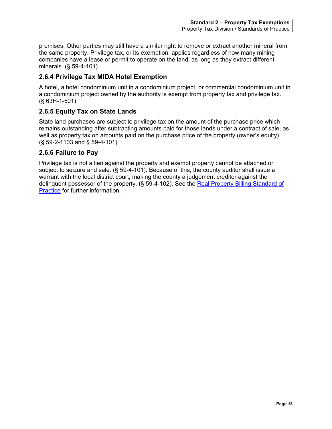premises. Other parties may still have a similar right to remove or extract another mineral from the same property. Privilege tax, or its exemption, applies regardless of how many mining companies have a lease or permit to operate on the land, as long as they extract different minerals. (§ 59-4-101)

# <span id="page-17-0"></span>**2.6.4 Privilege Tax MIDA Hotel Exemption**

A hotel, a hotel condominium unit in a condominium project, or commercial condominium unit in a condominium project owned by the authority is exempt from property tax and privilege tax. (§ 63H-1-501)

# <span id="page-17-1"></span>**2.6.5 Equity Tax on State Lands**

State land purchases are subject to privilege tax on the amount of the purchase price which remains outstanding after subtracting amounts paid for those lands under a contract of sale, as well as property tax on amounts paid on the purchase price of the property (owner's equity). (§ 59-2-1103 and § 59-4-101).

# <span id="page-17-2"></span>**2.6.6 Failure to Pay**

Privilege tax is not a lien against the property and exempt property cannot be attached or subject to seizure and sale. (§ 59-4-101). Because of this, the county auditor shall issue a warrant with the local district court, making the county a judgement creditor against the delinquent possessor of the property. (§ 59-4-102). See the [Real Property Billing Standard of](https://propertytax.utah.gov/standards/standard12.pdf)  [Practice](https://propertytax.utah.gov/standards/standard12.pdf) for further information.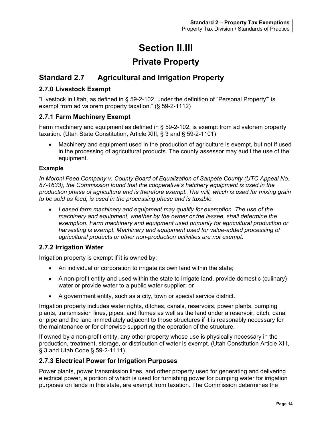# **Section II.III**

# **Private Property**

# <span id="page-18-2"></span><span id="page-18-1"></span><span id="page-18-0"></span>**Standard 2.7 Agricultural and Irrigation Property**

# <span id="page-18-3"></span>**2.7.0 Livestock Exempt**

"Livestock in Utah, as defined in § 59-2-102, under the definition of "Personal Property"' is exempt from ad valorem property taxation." (§ 59-2-1112)

## <span id="page-18-4"></span>**2.7.1 Farm Machinery Exempt**

Farm machinery and equipment as defined in § 59-2-102, is exempt from ad valorem property taxation. (Utah State Constitution, Article XIII, § 3 and § 59-2-1101)

• Machinery and equipment used in the production of agriculture is exempt, but not if used in the processing of agricultural products. The county assessor may audit the use of the equipment.

#### **Example**

*In Moroni Feed Company v. County Board of Equalization of Sanpete County (UTC Appeal No. 87-1633), the Commission found that the cooperative's hatchery equipment is used in the production phase of agriculture and is therefore exempt. The mill, which is used for mixing grain to be sold as feed, is used in the processing phase and is taxable.*

• *Leased farm machinery and equipment may qualify for exemption. The use of the machinery and equipment, whether by the owner or the lessee, shall determine the exemption. Farm machinery and equipment used primarily for agricultural production or*  harvesting is exempt. Machinery and equipment used for value-added processing of *agricultural products or other non-production activities are not exempt.*

## <span id="page-18-5"></span>**2.7.2 Irrigation Water**

Irrigation property is exempt if it is owned by:

- An individual or corporation to irrigate its own land within the state;
- A non-profit entity and used within the state to irrigate land, provide domestic (culinary) water or provide water to a public water supplier; or
- A government entity, such as a city, town or special service district.

Irrigation property includes water rights, ditches, canals, reservoirs, power plants, pumping plants, transmission lines, pipes, and flumes as well as the land under a reservoir, ditch, canal or pipe and the land immediately adjacent to those structures if it is reasonably necessary for the maintenance or for otherwise supporting the operation of the structure.

If owned by a non-profit entity, any other property whose use is physically necessary in the production, treatment, storage, or distribution of water is exempt. (Utah Constitution Article XIII, § 3 and Utah Code § 59-2-1111)

## <span id="page-18-6"></span>**2.7.3 Electrical Power for Irrigation Purposes**

Power plants, power transmission lines, and other property used for generating and delivering electrical power, a portion of which is used for furnishing power for pumping water for irrigation purposes on lands in this state, are exempt from taxation. The Commission determines the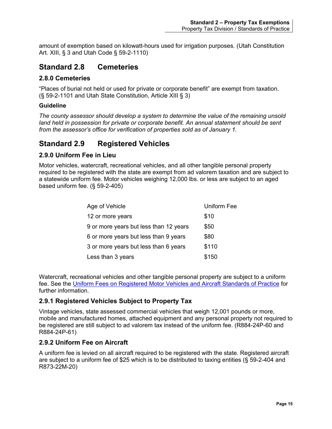amount of exemption based on kilowatt-hours used for irrigation purposes. (Utah Constitution Art. XIII, § 3 and Utah Code § 59-2-1110)

# <span id="page-19-0"></span>**Standard 2.8 Cemeteries**

#### <span id="page-19-1"></span>**2.8.0 Cemeteries**

"Places of burial not held or used for private or corporate benefit" are exempt from taxation. (§ 59-2-1101 and Utah State Constitution, Article XIII § 3)

#### **Guideline**

*The county assessor should develop a system to determine the value of the remaining unsold*  land held in possession for private or corporate benefit. An annual statement should be sent *from the assessor's office for verification of properties sold as of January 1.*

# <span id="page-19-2"></span>**Standard 2.9 Registered Vehicles**

## <span id="page-19-3"></span>**2.9.0 Uniform Fee in Lieu**

Motor vehicles, watercraft, recreational vehicles, and all other tangible personal property required to be registered with the state are exempt from ad valorem taxation and are subject to a statewide uniform fee. Motor vehicles weighing 12,000 lbs. or less are subject to an aged based uniform fee. (§ 59-2-405)

| Age of Vehicle                         | <b>Uniform Fee</b> |
|----------------------------------------|--------------------|
| 12 or more years                       | \$10               |
| 9 or more years but less than 12 years | \$50               |
| 6 or more years but less than 9 years  | \$80               |
| 3 or more years but less than 6 years  | \$110              |
| Less than 3 years                      | \$150              |

Watercraft, recreational vehicles and other tangible personal property are subject to a uniform fee. See the [Uniform Fees on Registered Motor Vehicles and Aircraft Standards of Practice](https://propertytax.utah.gov/standards/standard04.pdf) for further information.

## <span id="page-19-4"></span>**2.9.1 Registered Vehicles Subject to Property Tax**

Vintage vehicles, state assessed commercial vehicles that weigh 12,001 pounds or more, mobile and manufactured homes, attached equipment and any personal property not required to be registered are still subject to ad valorem tax instead of the uniform fee. (R884-24P-60 and R884-24P-61)

## <span id="page-19-5"></span>**2.9.2 Uniform Fee on Aircraft**

A uniform fee is levied on all aircraft required to be registered with the state. Registered aircraft are subject to a uniform fee of \$25 which is to be distributed to taxing entities (§ 59-2-404 and R873-22M-20)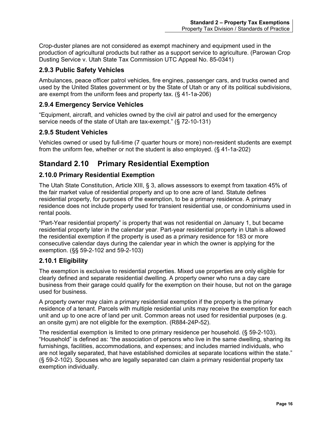Crop-duster planes are not considered as exempt machinery and equipment used in the production of agricultural products but rather as a support service to agriculture. (Parowan Crop Dusting Service v. Utah State Tax Commission UTC Appeal No. 85-0341)

## <span id="page-20-0"></span>**2.9.3 Public Safety Vehicles**

Ambulances, peace officer patrol vehicles, fire engines, passenger cars, and trucks owned and used by the United States government or by the State of Utah or any of its political subdivisions, are exempt from the uniform fees and property tax. (§ 41-1a-206)

## <span id="page-20-1"></span>**2.9.4 Emergency Service Vehicles**

"Equipment, aircraft, and vehicles owned by the civil air patrol and used for the emergency service needs of the state of Utah are tax-exempt." (§ 72-10-131)

#### <span id="page-20-2"></span>**2.9.5 Student Vehicles**

Vehicles owned or used by full-time (7 quarter hours or more) non-resident students are exempt from the uniform fee, whether or not the student is also employed. (§ 41-1a-202)

# <span id="page-20-3"></span>**Standard 2.10 Primary Residential Exemption**

## <span id="page-20-4"></span>**2.10.0 Primary Residential Exemption**

The Utah State Constitution, Article XIII, § 3, allows assessors to exempt from taxation 45% of the fair market value of residential property and up to one acre of land. Statute defines residential property, for purposes of the exemption, to be a primary residence. A primary residence does not include property used for transient residential use, or condominiums used in rental pools.

"Part-Year residential property" is property that was not residential on January 1, but became residential property later in the calendar year. Part-year residential property in Utah is allowed the residential exemption if the property is used as a primary residence for 183 or more consecutive calendar days during the calendar year in which the owner is applying for the exemption. (§§ 59-2-102 and 59-2-103)

## <span id="page-20-5"></span>**2.10.1 Eligibility**

The exemption is exclusive to residential properties. Mixed use properties are only eligible for clearly defined and separate residential dwelling. A property owner who runs a day care business from their garage could qualify for the exemption on their house, but not on the garage used for business.

A property owner may claim a primary residential exemption if the property is the primary residence of a tenant. Parcels with multiple residential units may receive the exemption for each unit and up to one acre of land per unit. Common areas not used for residential purposes (e.g. an onsite gym) are not eligible for the exemption. (R884-24P-52).

The residential exemption is limited to one primary residence per household. (§ 59-2-103). "Household" is defined as: "the association of persons who live in the same dwelling, sharing its furnishings, facilities, accommodations, and expenses; and includes married individuals, who are not legally separated, that have established domiciles at separate locations within the state." (§ 59-2-102). Spouses who are legally separated can claim a primary residential property tax exemption individually.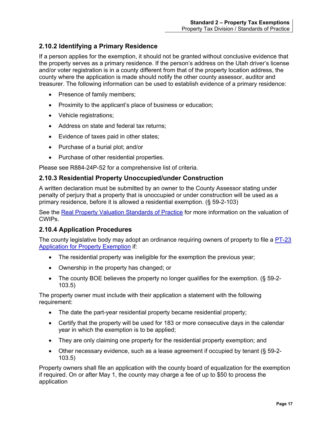# <span id="page-21-0"></span>**2.10.2 Identifying a Primary Residence**

If a person applies for the exemption, it should not be granted without conclusive evidence that the property serves as a primary residence. If the person's address on the Utah driver's license and/or voter registration is in a county different from that of the property location address, the county where the application is made should notify the other county assessor, auditor and treasurer. The following information can be used to establish evidence of a primary residence:

- Presence of family members;
- Proximity to the applicant's place of business or education;
- Vehicle registrations;
- Address on state and federal tax returns;
- Evidence of taxes paid in other states;
- Purchase of a burial plot; and/or
- Purchase of other residential properties.

Please see R884-24P-52 for a comprehensive list of criteria.

#### <span id="page-21-1"></span>**2.10.3 Residential Property Unoccupied/under Construction**

A written declaration must be submitted by an owner to the County Assessor stating under penalty of perjury that a property that is unoccupied or under construction will be used as a primary residence, before it is allowed a residential exemption. (§ 59-2-103)

See the [Real Property Valuation Standards of Practice](https://propertytax.utah.gov/standards/standard06.pdf) for more information on the valuation of CWIPs.

## <span id="page-21-2"></span>**2.10.4 Application Procedures**

The county legislative body may adopt an ordinance requiring owners of property to file a PT-23 [Application for Property Exemption](https://propertytax.utah.gov/form/pt-023.pdf) if:

- The residential property was ineligible for the exemption the previous year;
- Ownership in the property has changed; or
- The county BOE believes the property no longer qualifies for the exemption. (§ 59-2-103.5)

The property owner must include with their application a statement with the following requirement:

- The date the part-year residential property became residential property;
- Certify that the property will be used for 183 or more consecutive days in the calendar year in which the exemption is to be applied;
- They are only claiming one property for the residential property exemption; and
- Other necessary evidence, such as a lease agreement if occupied by tenant (§ 59-2- 103.5)

Property owners shall file an application with the county board of equalization for the exemption if required. On or after May 1, the county may charge a fee of up to \$50 to process the application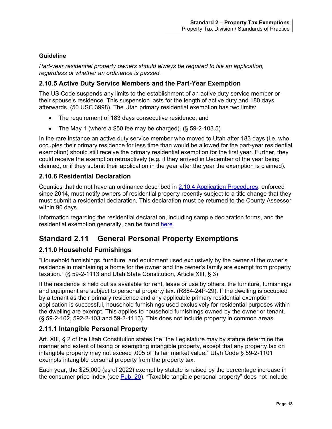#### **Guideline**

*Part-year residential property owners should always be required to file an application, regardless of whether an ordinance is passed.*

## <span id="page-22-0"></span>**2.10.5 Active Duty Service Members and the Part-Year Exemption**

The US Code suspends any limits to the establishment of an active duty service member or their spouse's residence. This suspension lasts for the length of active duty and 180 days afterwards. (50 USC 3998). The Utah primary residential exemption has two limits:

- The requirement of 183 days consecutive residence; and
- The May 1 (where a \$50 fee may be charged).  $(\S 59-2-103.5)$

In the rare instance an active duty service member who moved to Utah after 183 days (i.e. who occupies their primary residence for less time than would be allowed for the part-year residential exemption) should still receive the primary residential exemption for the first year. Further, they could receive the exemption retroactively (e.g. if they arrived in December of the year being claimed, or if they submit their application in the year after the year the exemption is claimed).

## <span id="page-22-1"></span>**2.10.6 Residential Declaration**

Counties that do not have an ordinance described in [2.10.4 Application Procedures,](#page-21-2) enforced since 2014, must notify owners of residential property recently subject to a title change that they must submit a residential declaration. This declaration must be returned to the County Assessor within 90 days.

Information regarding the residential declaration, including sample declaration forms, and the residential exemption generally, can be found [here.](https://propertytax.utah.gov/general/primary-residential-exemption)

# <span id="page-22-2"></span>**Standard 2.11 General Personal Property Exemptions**

## <span id="page-22-3"></span>**2.11.0 Household Furnishings**

"Household furnishings, furniture, and equipment used exclusively by the owner at the owner's residence in maintaining a home for the owner and the owner's family are exempt from property taxation." (§ 59-2-1113 and Utah State Constitution, Article XIII, § 3)

If the residence is held out as available for rent, lease or use by others, the furniture, furnishings and equipment are subject to personal property tax. (R884-24P-29). If the dwelling is occupied by a tenant as their primary residence and any applicable primary residential exemption application is successful, household furnishings used exclusively for residential purposes within the dwelling are exempt. This applies to household furnishings owned by the owner or tenant. (§ 59-2-102, 592-2-103 and 59-2-1113). This does not include property in common areas.

## <span id="page-22-4"></span>**2.11.1 Intangible Personal Property**

Art. XIII, § 2 of the Utah Constitution states the "the Legislature may by statute determine the manner and extent of taxing or exempting intangible property, except that any property tax on intangible property may not exceed .005 of its fair market value." Utah Code § 59-2-1101 exempts intangible personal property from the property tax.

Each year, the \$25,000 (as of 2022) exempt by statute is raised by the percentage increase in the consumer price index (see [Pub. 20\)](https://tax.utah.gov/forms/pubs/pub-20.pdf). "Taxable tangible personal property" does not include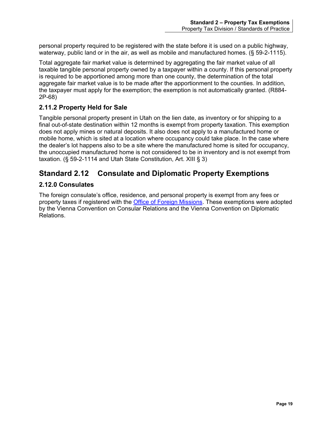personal property required to be registered with the state before it is used on a public highway, waterway, public land or in the air, as well as mobile and manufactured homes. (§ 59-2-1115).

Total aggregate fair market value is determined by aggregating the fair market value of all taxable tangible personal property owned by a taxpayer within a county. If this personal property is required to be apportioned among more than one county, the determination of the total aggregate fair market value is to be made after the apportionment to the counties. In addition, the taxpayer must apply for the exemption; the exemption is not automatically granted. (R884- 2P-68)

# <span id="page-23-0"></span>**2.11.2 Property Held for Sale**

Tangible personal property present in Utah on the lien date, as inventory or for shipping to a final out-of-state destination within 12 months is exempt from property taxation. This exemption does not apply mines or natural deposits. It also does not apply to a manufactured home or mobile home, which is sited at a location where occupancy could take place. In the case where the dealer's lot happens also to be a site where the manufactured home is sited for occupancy, the unoccupied manufactured home is not considered to be in inventory and is not exempt from taxation. (§ 59-2-1114 and Utah State Constitution, Art. XIII § 3)

# <span id="page-23-1"></span>**Standard 2.12 Consulate and Diplomatic Property Exemptions**

## <span id="page-23-2"></span>**2.12.0 Consulates**

The foreign consulate's office, residence, and personal property is exempt from any fees or property taxes if registered with the [Office of Foreign Missions.](https://www.state.gov/ofm/) These exemptions were adopted by the Vienna Convention on Consular Relations and the Vienna Convention on Diplomatic Relations.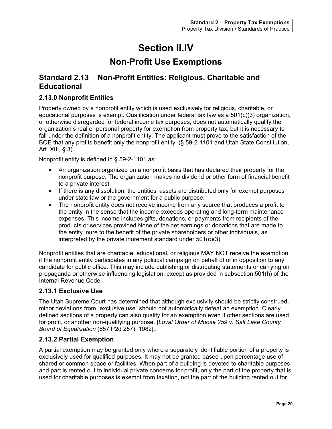# **Section II.IV**

# **Non-Profit Use Exemptions**

# <span id="page-24-2"></span><span id="page-24-1"></span><span id="page-24-0"></span>**Standard 2.13 Non-Profit Entities: Religious, Charitable and Educational**

# <span id="page-24-3"></span>**2.13.0 Nonprofit Entities**

Property owned by a nonprofit entity which is used exclusively for religious, charitable, or educational purposes is exempt. Qualification under federal tax law as a  $501(c)(3)$  organization, or otherwise disregarded for federal income tax purposes, does not automatically qualify the organization's real or personal property for exemption from property tax, but it is necessary to fall under the definition of a nonprofit entity. The applicant must prove to the satisfaction of the BOE that any profits benefit only the nonprofit entity. (§ 59-2-1101 and Utah State Constitution, Art.  $XIII$ , § 3)

Nonprofit entity is defined in § 59-2-1101 as:

- An organization organized on a nonprofit basis that has declared their property for the nonprofit purpose. The organization makes no dividend or other form of financial benefit to a private interest.
- If there is any dissolution, the entities' assets are distributed only for exempt purposes under state law or the government for a public purpose.
- The nonprofit entity does not receive income from any source that produces a profit to the entity in the sense that the income exceeds operating and long-term maintenance expenses. This income includes gifts, donations, or payments from recipients of the products or services provided.None of the net earnings or donations that are made to the entity inure to the benefit of the private shareholders or other individuals, as interpreted by the private inurement standard under 501(c)(3)

Nonprofit entities that are charitable, educational, or religious MAY NOT receive the exemption if the nonprofit entity participates in any political campaign on behalf of or in opposition to any candidate for public office. This may include publishing or distributing statements or carrying on propaganda or otherwise influencing legislation, except as provided in subsection 501(h) of the Internal Revenue Code

## <span id="page-24-4"></span>**2.13.1 Exclusive Use**

The Utah Supreme Court has determined that although exclusivity should be strictly construed, minor deviations from "exclusive use" should not automatically defeat an exemption. Clearly defined sections of a property can also qualify for an exemption even if other sections are used for profit, or another non-qualifying purpose. [*Loyal Order of Moose 259 v. Salt Lake County Board of Equalization* (657 P2d 257), 1982]..

## <span id="page-24-5"></span>**2.13.2 Partial Exemption**

A partial exemption may be granted only where a separately identifiable portion of a property is exclusively used for qualified purposes. It may not be granted based upon percentage use of shared or common space or facilities. When part of a building is devoted to charitable purposes and part is rented out to individual private concerns for profit, only the part of the property that is used for charitable purposes is exempt from taxation, not the part of the building rented out for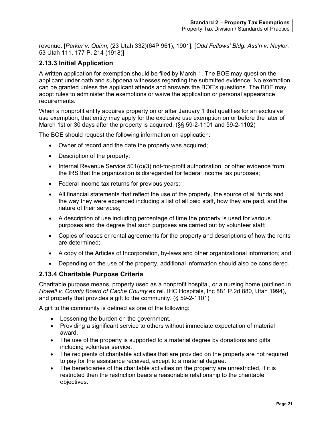revenue. [*Parker v. Quinn*, (23 Utah 332)(64P 961), 1901], [*Odd Fellows' Bldg. Ass'n v. Naylor*, 53 Utah 111, 177 P. 214 (1918)]

## <span id="page-25-0"></span>**2.13.3 Initial Application**

A written application for exemption should be filed by March 1. The BOE may question the applicant under oath and subpoena witnesses regarding the submitted evidence. No exemption can be granted unless the applicant attends and answers the BOE's questions. The BOE may adopt rules to administer the exemptions or waive the application or personal appearance requirements.

When a nonprofit entity acquires property on or after January 1 that qualifies for an exclusive use exemption, that entity may apply for the exclusive use exemption on or before the later of March 1st or 30 days after the property is acquired. (§§ 59-2-1101 and 59-2-1102)

The BOE should request the following information on application:

- Owner of record and the date the property was acquired;
- Description of the property;
- Internal Revenue Service 501(c)(3) not-for-profit authorization, or other evidence from the IRS that the organization is disregarded for federal income tax purposes;
- Federal income tax returns for previous years;
- All financial statements that reflect the use of the property, the source of all funds and the way they were expended including a list of all paid staff, how they are paid, and the nature of their services;
- A description of use including percentage of time the property is used for various purposes and the degree that such purposes are carried out by volunteer staff;
- Copies of leases or rental agreements for the property and descriptions of how the rents are determined;
- A copy of the Articles of Incorporation, by-laws and other organizational information; and
- Depending on the use of the property, additional information should also be considered.

#### <span id="page-25-1"></span>**2.13.4 Charitable Purpose Criteria**

Charitable purpose means, property used as a nonprofit hospital, or a nursing home (outlined in *Howell v. County Board of Cache County* ex rel. IHC Hospitals, Inc 881 P.2d 880, Utah 1994), and property that provides a gift to the community. (§ 59-2-1101)

A gift to the community is defined as one of the following:

- Lessening the burden on the government.
- Providing a significant service to others without immediate expectation of material award.
- The use of the property is supported to a material degree by donations and gifts including volunteer service.
- The recipients of charitable activities that are provided on the property are not required to pay for the assistance received, except to a material degree.
- The beneficiaries of the charitable activities on the property are unrestricted, if it is restricted then the restriction bears a reasonable relationship to the charitable objectives.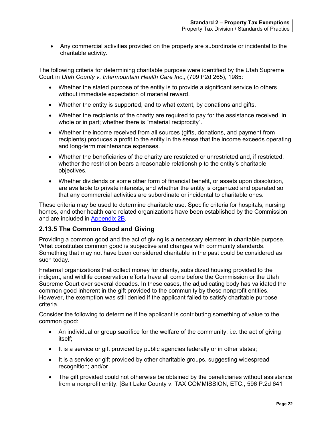• Any commercial activities provided on the property are subordinate or incidental to the charitable activity.

The following criteria for determining charitable purpose were identified by the Utah Supreme Court in *Utah County v. Intermountain Health Care Inc*., (709 P2d 265), 1985:

- Whether the stated purpose of the entity is to provide a significant service to others without immediate expectation of material reward.
- Whether the entity is supported, and to what extent, by donations and gifts.
- Whether the recipients of the charity are required to pay for the assistance received, in whole or in part; whether there is "material reciprocity".
- Whether the income received from all sources (gifts, donations, and payment from recipients) produces a profit to the entity in the sense that the income exceeds operating and long-term maintenance expenses.
- Whether the beneficiaries of the charity are restricted or unrestricted and, if restricted, whether the restriction bears a reasonable relationship to the entity's charitable objectives.
- Whether dividends or some other form of financial benefit, or assets upon dissolution, are available to private interests, and whether the entity is organized and operated so that any commercial activities are subordinate or incidental to charitable ones.

These criteria may be used to determine charitable use. Specific criteria for hospitals, nursing homes, and other health care related organizations have been established by the Commission and are included in [Appendix 2B.](#page-34-0)

## <span id="page-26-0"></span>**2.13.5 The Common Good and Giving**

Providing a common good and the act of giving is a necessary element in charitable purpose. What constitutes common good is subjective and changes with community standards. Something that may not have been considered charitable in the past could be considered as such today.

Fraternal organizations that collect money for charity, subsidized housing provided to the indigent, and wildlife conservation efforts have all come before the Commission or the Utah Supreme Court over several decades. In these cases, the adjudicating body has validated the common good inherent in the gift provided to the community by these nonprofit entities. However, the exemption was still denied if the applicant failed to satisfy charitable purpose criteria.

Consider the following to determine if the applicant is contributing something of value to the common good:

- An individual or group sacrifice for the welfare of the community, i.e. the act of giving itself;
- It is a service or gift provided by public agencies federally or in other states;
- It is a service or gift provided by other charitable groups, suggesting widespread recognition; and/or
- The gift provided could not otherwise be obtained by the beneficiaries without assistance from a nonprofit entity. [Salt Lake County v. TAX COMMISSION, ETC., 596 P.2d 641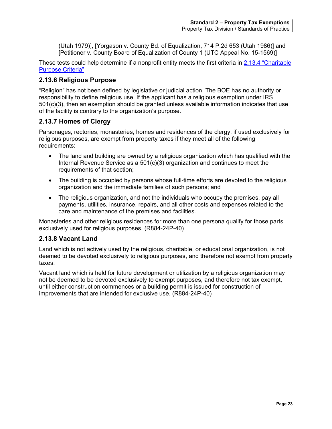(Utah 1979)], [Yorgason v. County Bd. of Equalization, 714 P.2d 653 (Utah 1986)] and [Petitioner v*.* County Board of Equalization of County 1 (UTC Appeal No. 15-1569)]

These tests could help determine if a nonprofit entity meets the first criteria in [2.13.4 "Charitable](#page-25-1)  [Purpose Criteria"](#page-25-1)

#### <span id="page-27-0"></span>**2.13.6 Religious Purpose**

"Religion" has not been defined by legislative or judicial action. The BOE has no authority or responsibility to define religious use. If the applicant has a religious exemption under IRS 501(c)(3), then an exemption should be granted unless available information indicates that use of the facility is contrary to the organization's purpose.

#### <span id="page-27-1"></span>**2.13.7 Homes of Clergy**

Parsonages, rectories, monasteries, homes and residences of the clergy, if used exclusively for religious purposes, are exempt from property taxes if they meet all of the following requirements:

- The land and building are owned by a religious organization which has qualified with the Internal Revenue Service as a 501(c)(3) organization and continues to meet the requirements of that section;
- The building is occupied by persons whose full-time efforts are devoted to the religious organization and the immediate families of such persons; and
- The religious organization, and not the individuals who occupy the premises, pay all payments, utilities, insurance, repairs, and all other costs and expenses related to the care and maintenance of the premises and facilities.

Monasteries and other religious residences for more than one persona qualify for those parts exclusively used for religious purposes. (R884-24P-40)

#### <span id="page-27-2"></span>**2.13.8 Vacant Land**

Land which is not actively used by the religious, charitable, or educational organization, is not deemed to be devoted exclusively to religious purposes, and therefore not exempt from property taxes.

Vacant land which is held for future development or utilization by a religious organization may not be deemed to be devoted exclusively to exempt purposes, and therefore not tax exempt, until either construction commences or a building permit is issued for construction of improvements that are intended for exclusive use. (R884-24P-40)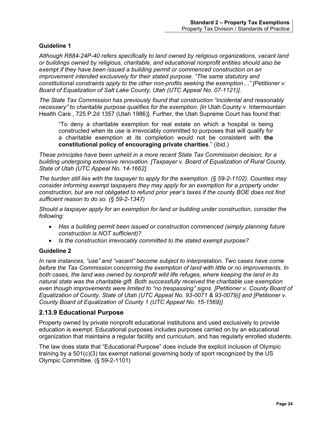#### **Guideline 1**

*Although R884-24P-40 refers specifically to land owned by religious organizations, vacant land or buildings owned by religious, charitable, and educational nonprofit entities should also be exempt if they have been issued a building permit or commenced construction on an improvement intended exclusively for their stated purpose. "The same statutory and constitutional constraints apply to the other non-profits seeking the exemption…" [Petitioner v. Board of Equalization of Salt Lake County, Utah (UTC Appeal No. 07-1121)].*

*The State Tax Commission has previously found that construction "incidental and reasonably necessary" to charitable purpose qualifies for the exemption. [in* Utah County v. Intermountain Health Care., 725 P.2d 1357 (Utah 1986)]. Further, the Utah Supreme Court has found that:

"To deny a charitable exemption for real estate on which a hospital is being constructed when its use is irrevocably committed to purposes that will qualify for a charitable exemption at its completion would not be consistent with **the constitutional policy of encouraging private charities**." (ibid.)

*These principles have been upheld in a more recent State Tax Commission decision, for a building undergoing extensive renovation. [Taxpayer v. Board of Equalization of Rural County, State of Utah (UTC Appeal No. 14-1662].*

*The burden still lies with the taxpayer to apply for the exemption. (§ 59-2-1102). Counties may consider informing exempt taxpayers they may apply for an exemption for a property under construction, but are not obligated to refund prior year's taxes if the county BOE does not find sufficient reason to do so. (§ 59-2-1347)*

*Should a taxpayer apply for an exemption for land or building under construction, consider the following:*

- *Has a building permit been issued or construction commenced (simply planning future construction is NOT sufficient)?*
- *Is the construction irrevocably committed to the stated exempt purpose?*

#### **Guideline 2**

*In rare instances, "use" and "vacant" become subject to interpretation. Two cases have come before the Tax Commission concerning the exemption of land with little or no improvements. In both cases, the land was owned by nonprofit wild life refuges, where keeping the land in its natural state was the charitable gift. Both successfully received the charitable use exemption even though improvements were limited to "no trespassing" signs. [Petitioner v. County Board of Equalization of County, State of Utah (UTC Appeal No. 93-0071 & 93-0079)] and [Petitioner v. County Board of Equalization of County 1 (UTC Appeal No. 15-1569)]*

#### <span id="page-28-0"></span>**2.13.9 Educational Purpose**

Property owned by private nonprofit educational institutions and used exclusively to provide education is exempt. Educational purposes includes purposes carried on by an educational organization that maintains a regular facility and curriculum, and has regularly enrolled students.

The law does state that "Educational Purpose" does include the explicit inclusion of Olympic training by a  $501(c)(3)$  tax exempt national governing body of sport recognized by the US Olympic Committee. (§ 59-2-1101)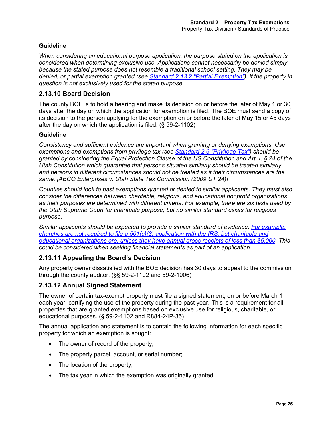#### **Guideline**

*When considering an educational purpose application, the purpose stated on the application is considered when determining exclusive use. Applications cannot necessarily be denied simply because the stated purpose does not resemble a traditional school setting. They may be denied, or partial exemption granted (see [Standard 2.13.2 "Partial Exemption"\)](#page-24-5), if the property in question is not exclusively used for the stated purpose.*

## <span id="page-29-0"></span>**2.13.10 Board Decision**

The county BOE is to hold a hearing and make its decision on or before the later of May 1 or 30 days after the day on which the application for exemption is filed. The BOE must send a copy of its decision to the person applying for the exemption on or before the later of May 15 or 45 days after the day on which the application is filed. (§ 59-2-1102)

#### **Guideline**

*Consistency and sufficient evidence are important when granting or denying exemptions. Use exemptions and exemptions from privilege tax (see Standard 2.6 ["Privilege Tax"\)](#page-15-4) should be granted by considering the Equal Protection Clause of the US Constitution and Art. I, § 24 of the Utah Constitution which guarantee that persons situated similarly should be treated similarly, and persons in different circumstances should not be treated as if their circumstances are the same. [ABCO Enterprises v. Utah State Tax Commission (2009 UT 24)]*

*Counties should look to past exemptions granted or denied to similar applicants. They must also consider the differences between charitable, religious, and educational nonprofit organizations as their purposes are determined with different criteria. For example, there are six tests used by the Utah Supreme Court for charitable purpose, but no similar standard exists for religious purpose.* 

*Similar applicants should be expected to provide a similar standard of evidence. [For example,](https://www.irs.gov/charities-non-profits/application-for-recognition-of-exemption)  [churches are not required to file a 501\(c\)\(3\) application with the IRS, but charitable and](https://www.irs.gov/charities-non-profits/application-for-recognition-of-exemption)  educational organizations [are, unless they have annual gross receipts of less than \\$5,000.](https://www.irs.gov/charities-non-profits/application-for-recognition-of-exemption) This could be considered when seeking financial statements as part of an application.*

#### <span id="page-29-1"></span>**2.13.11 Appealing the Board's Decision**

Any property owner dissatisfied with the BOE decision has 30 days to appeal to the commission through the county auditor. (§§ 59-2-1102 and 59-2-1006)

## <span id="page-29-2"></span>**2.13.12 Annual Signed Statement**

The owner of certain tax-exempt property must file a signed statement, on or before March 1 each year, certifying the use of the property during the past year. This is a requirement for all properties that are granted exemptions based on exclusive use for religious, charitable, or educational purposes. (§ 59-2-1102 and R884-24P-35)

The annual application and statement is to contain the following information for each specific property for which an exemption is sought:

- The owner of record of the property;
- The property parcel, account, or serial number;
- The location of the property;
- The tax year in which the exemption was originally granted;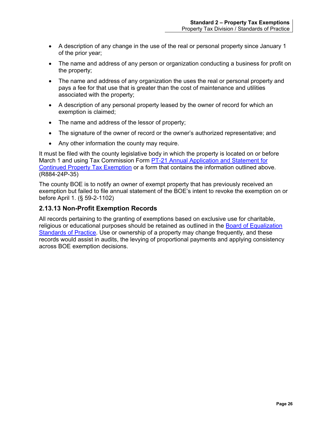- A description of any change in the use of the real or personal property since January 1 of the prior year;
- The name and address of any person or organization conducting a business for profit on the property;
- The name and address of any organization the uses the real or personal property and pays a fee for that use that is greater than the cost of maintenance and utilities associated with the property;
- A description of any personal property leased by the owner of record for which an exemption is claimed;
- The name and address of the lessor of property;
- The signature of the owner of record or the owner's authorized representative; and
- Any other information the county may require.

It must be filed with the county legislative body in which the property is located on or before March 1 and using Tax Commission Form PT-21 Annual Application and Statement for [Continued Property Tax Exemption](http://propertytax.utah.gov/form/pt-021.pdf) or a form that contains the information outlined above. (R884-24P-35)

The county BOE is to notify an owner of exempt property that has previously received an exemption but failed to file annual statement of the BOE's intent to revoke the exemption on or before April 1. (§ 59-2-1102)

## <span id="page-30-0"></span>**2.13.13 Non-Profit Exemption Records**

<span id="page-30-1"></span>All records pertaining to the granting of exemptions based on exclusive use for charitable, religious or educational purposes should be retained as outlined in the Board of Equalization [Standards of Practice.](http://propertytax.utah.gov/standards/standard01.pdf) Use or ownership of a property may change frequently, and these records would assist in audits, the levying of proportional payments and applying consistency across BOE exemption decisions.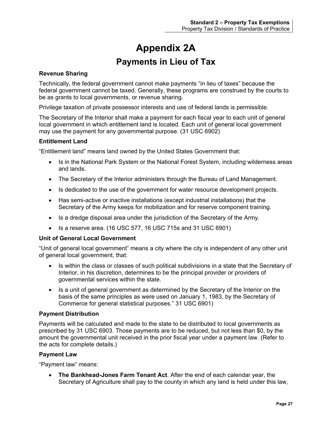# **Appendix 2A Payments in Lieu of Tax**

#### <span id="page-31-1"></span><span id="page-31-0"></span>**Revenue Sharing**

Technically, the federal government cannot make payments "in lieu of taxes" because the federal government cannot be taxed. Generally, these programs are construed by the courts to be as grants to local governments, or revenue sharing.

Privilege taxation of private possessor interests and use of federal lands is permissible.

The Secretary of the Interior shall make a payment for each fiscal year to each unit of general local government in which entitlement land is located. Each unit of general local government may use the payment for any governmental purpose. (31 USC 6902)

#### **Entitlement Land**

"Entitlement land" means land owned by the United States Government that:

- Is in the National Park System or the National Forest System, including wilderness areas and lands.
- The Secretary of the Interior administers through the Bureau of Land Management.
- Is dedicated to the use of the government for water resource development projects.
- Has semi-active or inactive installations (except industrial installations) that the Secretary of the Army keeps for mobilization and for reserve component training.
- Is a dredge disposal area under the jurisdiction of the Secretary of the Army.
- Is a reserve area. (16 USC 577, 16 USC 715s and 31 USC 6901)

#### **Unit of General Local Government**

"Unit of general local government" means a city where the city is independent of any other unit of general local government, that:

- Is within the class or classes of such political subdivisions in a state that the Secretary of Interior, in his discretion, determines to be the principal provider or providers of governmental services within the state.
- Is a unit of general government as determined by the Secretary of the Interior on the basis of the same principles as were used on January 1, 1983, by the Secretary of Commerce for general statistical purposes." 31 USC 6901)

#### **Payment Distribution**

Payments will be calculated and made to the state to be distributed to local governments as prescribed by 31 USC 6903. Those payments are to be reduced, but not less than \$0, by the amount the governmental unit received in the prior fiscal year under a payment law. (Refer to the acts for complete details.)

#### **Payment Law**

"Payment law" means:

• **The Bankhead-Jones Farm Tenant Act**. After the end of each calendar year, the Secretary of Agriculture shall pay to the county in which any land is held under this law,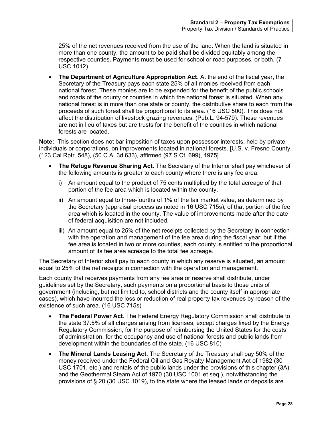25% of the net revenues received from the use of the land. When the land is situated in more than one county, the amount to be paid shall be divided equitably among the respective counties. Payments must be used for school or road purposes, or both. (7 USC 1012)

• **The Department of Agriculture Appropriation Act**. At the end of the fiscal year, the Secretary of the Treasury pays each state 25% of all monies received from each national forest. These monies are to be expended for the benefit of the public schools and roads of the county or counties in which the national forest is situated. When any national forest is in more than one state or county, the distributive share to each from the proceeds of such forest shall be proportional to its area. (16 USC 500). This does not affect the distribution of livestock grazing revenues. (Pub.L. 94-579). These revenues are not in lieu of taxes but are trusts for the benefit of the counties in which national forests are located.

**Note:** This section does not bar imposition of taxes upon possessor interests, held by private individuals or corporations, on improvements located in national forests. [U.S. v. Fresno County, (123 Cal.Rptr. 548), (50 C.A. 3d 633), affirmed (97 S.Ct. 699), 1975]

- **The Refuge Revenue Sharing Act.** The Secretary of the Interior shall pay whichever of the following amounts is greater to each county where there is any fee area:
	- i) An amount equal to the product of 75 cents multiplied by the total acreage of that portion of the fee area which is located within the county.
	- ii) An amount equal to three-fourths of 1% of the fair market value, as determined by the Secretary (appraisal process as noted in 16 USC 715s), of that portion of the fee area which is located in the county. The value of improvements made after the date of federal acquisition are not included.
	- iii) An amount equal to 25% of the net receipts collected by the Secretary in connection with the operation and management of the fee area during the fiscal year; but if the fee area is located in two or more counties, each county is entitled to the proportional amount of its fee area acreage to the total fee acreage.

The Secretary of Interior shall pay to each county in which any reserve is situated, an amount equal to 25% of the net receipts in connection with the operation and management.

Each county that receives payments from any fee area or reserve shall distribute, under guidelines set by the Secretary, such payments on a proportional basis to those units of government (including, but not limited to, school districts and the county itself in appropriate cases), which have incurred the loss or reduction of real property tax revenues by reason of the existence of such area. (16 USC 715s)

- **The Federal Power Act**. The Federal Energy Regulatory Commission shall distribute to the state 37.5% of all charges arising from licenses, except charges fixed by the Energy Regulatory Commission, for the purpose of reimbursing the United States for the costs of administration, for the occupancy and use of national forests and public lands from development within the boundaries of the state. (16 USC 810)
- **The Mineral Lands Leasing Act.** The Secretary of the Treasury shall pay 50% of the money received under the Federal Oil and Gas Royalty Management Act of 1982 (30 USC 1701, etc.) and rentals of the public lands under the provisions of this chapter (3A) and the Geothermal Steam Act of 1970 (30 USC 1001 et seq.), notwithstanding the provisions of § 20 (30 USC 1019), to the state where the leased lands or deposits are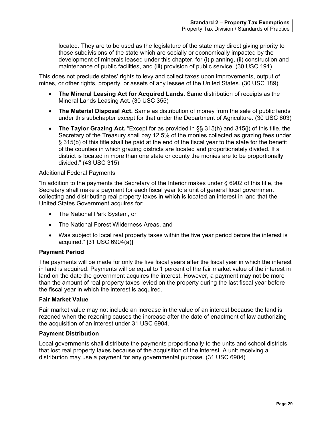located. They are to be used as the legislature of the state may direct giving priority to those subdivisions of the state which are socially or economically impacted by the development of minerals leased under this chapter, for (i) planning, (ii) construction and maintenance of public facilities, and (iii) provision of public service. (30 USC 191)

This does not preclude states' rights to levy and collect taxes upon improvements, output of mines, or other rights, property, or assets of any lessee of the United States. (30 USC 189)

- **The Mineral Leasing Act for Acquired Lands.** Same distribution of receipts as the Mineral Lands Leasing Act. (30 USC 355)
- **The Material Disposal Act.** Same as distribution of money from the sale of public lands under this subchapter except for that under the Department of Agriculture. (30 USC 603)
- **The Taylor Grazing Act.** "Except for as provided in §§ 315(h) and 315(j) of this title, the Secretary of the Treasury shall pay 12.5% of the monies collected as grazing fees under § 315(b) of this title shall be paid at the end of the fiscal year to the state for the benefit of the counties in which grazing districts are located and proportionately divided. If a district is located in more than one state or county the monies are to be proportionally divided." (43 USC 315)

#### Additional Federal Payments

"In addition to the payments the Secretary of the Interior makes under § 6902 of this title, the Secretary shall make a payment for each fiscal year to a unit of general local government collecting and distributing real property taxes in which is located an interest in land that the United States Government acquires for:

- The National Park System, or
- The National Forest Wilderness Areas, and
- Was subject to local real property taxes within the five year period before the interest is acquired." [31 USC 6904(a)]

#### **Payment Period**

The payments will be made for only the five fiscal years after the fiscal year in which the interest in land is acquired. Payments will be equal to 1 percent of the fair market value of the interest in land on the date the government acquires the interest. However, a payment may not be more than the amount of real property taxes levied on the property during the last fiscal year before the fiscal year in which the interest is acquired.

#### **Fair Market Value**

Fair market value may not include an increase in the value of an interest because the land is rezoned when the rezoning causes the increase after the date of enactment of law authorizing the acquisition of an interest under 31 USC 6904.

#### **Payment Distribution**

Local governments shall distribute the payments proportionally to the units and school districts that lost real property taxes because of the acquisition of the interest. A unit receiving a distribution may use a payment for any governmental purpose. (31 USC 6904)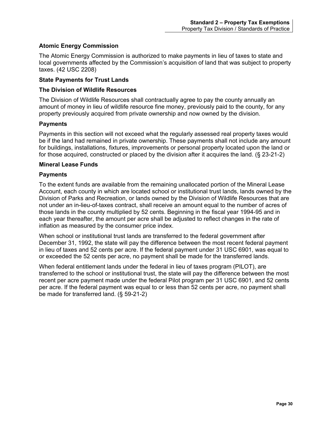#### **Atomic Energy Commission**

The Atomic Energy Commission is authorized to make payments in lieu of taxes to state and local governments affected by the Commission's acquisition of land that was subject to property taxes. (42 USC 2208)

#### **State Payments for Trust Lands**

#### **The Division of Wildlife Resources**

The Division of Wildlife Resources shall contractually agree to pay the county annually an amount of money in lieu of wildlife resource fine money, previously paid to the county, for any property previously acquired from private ownership and now owned by the division.

#### **Payments**

Payments in this section will not exceed what the regularly assessed real property taxes would be if the land had remained in private ownership. These payments shall not include any amount for buildings, installations, fixtures, improvements or personal property located upon the land or for those acquired, constructed or placed by the division after it acquires the land. (§ 23-21-2)

#### **Mineral Lease Funds**

#### **Payments**

To the extent funds are available from the remaining unallocated portion of the Mineral Lease Account, each county in which are located school or institutional trust lands, lands owned by the Division of Parks and Recreation, or lands owned by the Division of Wildlife Resources that are not under an in-lieu-of-taxes contract, shall receive an amount equal to the number of acres of those lands in the county multiplied by 52 cents. Beginning in the fiscal year 1994-95 and in each year thereafter, the amount per acre shall be adjusted to reflect changes in the rate of inflation as measured by the consumer price index.

When school or institutional trust lands are transferred to the federal government after December 31, 1992, the state will pay the difference between the most recent federal payment in lieu of taxes and 52 cents per acre. If the federal payment under 31 USC 6901, was equal to or exceeded the 52 cents per acre, no payment shall be made for the transferred lands.

<span id="page-34-0"></span>When federal entitlement lands under the federal in lieu of taxes program (PILOT), are transferred to the school or institutional trust, the state will pay the difference between the most recent per acre payment made under the federal Pilot program per 31 USC 6901, and 52 cents per acre. If the federal payment was equal to or less than 52 cents per acre, no payment shall be made for transferred land. (§ 59-21-2)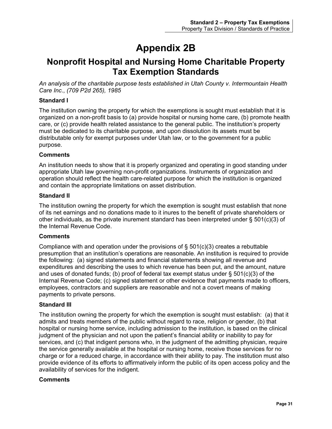# **Appendix 2B**

# <span id="page-35-1"></span><span id="page-35-0"></span>**Nonprofit Hospital and Nursing Home Charitable Property Tax Exemption Standards**

*An analysis of the charitable purpose tests established in Utah County v. Intermountain Health Care Inc*., *(709 P2d 265), 1985*

#### **Standard I**

The institution owning the property for which the exemptions is sought must establish that it is organized on a non-profit basis to (a) provide hospital or nursing home care, (b) promote health care, or (c) provide health related assistance to the general public. The institution's property must be dedicated to its charitable purpose, and upon dissolution its assets must be distributable only for exempt purposes under Utah law, or to the government for a public purpose.

#### **Comments**

An institution needs to show that it is properly organized and operating in good standing under appropriate Utah law governing non-profit organizations. Instruments of organization and operation should reflect the health care-related purpose for which the institution is organized and contain the appropriate limitations on asset distribution.

#### **Standard II**

The institution owning the property for which the exemption is sought must establish that none of its net earnings and no donations made to it inures to the benefit of private shareholders or other individuals, as the private inurement standard has been interpreted under § 501(c)(3) of the Internal Revenue Code.

#### **Comments**

Compliance with and operation under the provisions of  $\S$  501(c)(3) creates a rebuttable presumption that an institution's operations are reasonable. An institution is required to provide the following: (a) signed statements and financial statements showing all revenue and expenditures and describing the uses to which revenue has been put, and the amount, nature and uses of donated funds; (b) proof of federal tax exempt status under  $\S$  501(c)(3) of the Internal Revenue Code; (c) signed statement or other evidence that payments made to officers, employees, contractors and suppliers are reasonable and not a covert means of making payments to private persons.

#### **Standard III**

The institution owning the property for which the exemption is sought must establish: (a) that it admits and treats members of the public without regard to race, religion or gender, (b) that hospital or nursing home service, including admission to the institution, is based on the clinical judgment of the physician and not upon the patient's financial ability or inability to pay for services, and (c) that indigent persons who, in the judgment of the admitting physician, require the service generally available at the hospital or nursing home, receive those services for no charge or for a reduced charge, in accordance with their ability to pay. The institution must also provide evidence of its efforts to affirmatively inform the public of its open access policy and the availability of services for the indigent.

#### **Comments**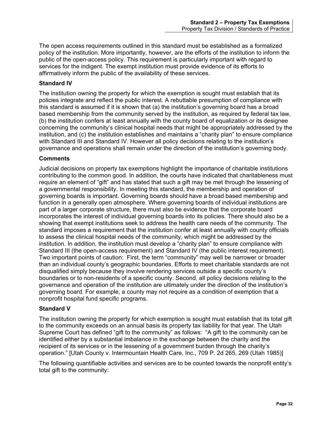The open access requirements outlined in this standard must be established as a formalized policy of the institution. More importantly, however, are the efforts of the institution to inform the public of the open-access policy. This requirement is particularly important with regard to services for the indigent. The exempt institution must provide evidence of its efforts to affirmatively inform the public of the availability of these services.

#### **Standard IV**

The institution owning the property for which the exemption is sought must establish that its policies integrate and reflect the public interest. A rebuttable presumption of compliance with this standard is assumed if it is shown that (a) the institution's governing board has a broad based membership from the community served by the institution, as required by federal tax law, (b) the institution confers at least annually with the county board of equalization or its designee concerning the community's clinical hospital needs that might be appropriately addressed by the institution, and (c) the institution establishes and maintains a "charity plan" to ensure compliance with Standard III and Standard IV. However all policy decisions relating to the institution's governance and operations shall remain under the direction of the institution's governing body.

#### **Comments**

Judicial decisions on property tax exemptions highlight the importance of charitable institutions contributing to the common good. In addition, the courts have indicated that charitableness must require an element of "gift" and has stated that such a gift may be met through the lessening of a governmental responsibility. In meeting this standard, the membership and operation of governing boards is important. Governing boards should have a broad based membership and function in a generally open atmosphere. Where governing boards of individual institutions are part of a larger corporate structure, there must also be evidence that the corporate board incorporates the interest of individual governing boards into its policies. There should also be a showing that exempt institutions seek to address the health care needs of the community. The standard imposes a requirement that the institution confer at least annually with county officials to assess the clinical hospital needs of the community, which might be addressed by the institution. In addition, the institution must develop a "charity plan" to ensure compliance with Standard III (the open-access requirement) and Standard IV (the public interest requirement). Two important points of caution: First, the term "community" may well be narrower or broader than an individual county's geographic boundaries. Efforts to meet charitable standards are not disqualified simply because they involve rendering services outside a specific county's boundaries or to non-residents of a specific county. Second, all policy decisions relating to the governance and operation of the institution are ultimately under the direction of the institution's governing board. For example, a county may not require as a condition of exemption that a nonprofit hospital fund specific programs.

#### **Standard V**

The institution owning the property for which exemption is sought must establish that its total gift to the community exceeds on an annual basis its property tax liability for that year. The Utah Supreme Court has defined "gift to the community" as follows: "A gift to the community can be identified either by a substantial imbalance in the exchange between the charity and the recipient of its services or in the lessening of a government burden through the charity's operation." [Utah County v. Intermountain Health Care, Inc., 709 P. 2d 265, 269 (Utah 1985)]

The following quantifiable activities and services are to be counted towards the nonprofit entity's total gift to the community: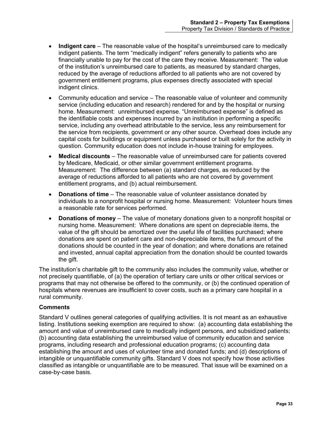- **Indigent care** The reasonable value of the hospital's unreimbursed care to medically indigent patients. The term "medically indigent" refers generally to patients who are financially unable to pay for the cost of the care they receive. Measurement: The value of the institution's unreimbursed care to patients, as measured by standard charges, reduced by the average of reductions afforded to all patients who are not covered by government entitlement programs, plus expenses directly associated with special indigent clinics.
- Community education and service The reasonable value of volunteer and community service (including education and research) rendered for and by the hospital or nursing home. Measurement: unreimbursed expense. "Unreimbursed expense" is defined as the identifiable costs and expenses incurred by an institution in performing a specific service, including any overhead attributable to the service, less any reimbursement for the service from recipients, government or any other source. Overhead does include any capital costs for buildings or equipment unless purchased or built solely for the activity in question. Community education does not include in-house training for employees.
- **Medical discounts** The reasonable value of unreimbursed care for patients covered by Medicare, Medicaid, or other similar government entitlement programs. Measurement: The difference between (a) standard charges, as reduced by the average of reductions afforded to all patients who are not covered by government entitlement programs, and (b) actual reimbursement.
- **Donations of time** The reasonable value of volunteer assistance donated by individuals to a nonprofit hospital or nursing home. Measurement: Volunteer hours times a reasonable rate for services performed.
- **Donations of money** The value of monetary donations given to a nonprofit hospital or nursing home. Measurement: Where donations are spent on depreciable items, the value of the gift should be amortized over the useful life of facilities purchased; where donations are spent on patient care and non-depreciable items, the full amount of the donations should be counted in the year of donation; and where donations are retained and invested, annual capital appreciation from the donation should be counted towards the gift.

The institution's charitable gift to the community also includes the community value, whether or not precisely quantifiable, of (a) the operation of tertiary care units or other critical services or programs that may not otherwise be offered to the community, or (b) the continued operation of hospitals where revenues are insufficient to cover costs, such as a primary care hospital in a rural community.

#### **Comments**

Standard V outlines general categories of qualifying activities. It is not meant as an exhaustive listing. Institutions seeking exemption are required to show: (a) accounting data establishing the amount and value of unreimbursed care to medically indigent persons, and subsidized patients; (b) accounting data establishing the unreimbursed value of community education and service programs, including research and professional education programs; (c) accounting data establishing the amount and uses of volunteer time and donated funds; and (d) descriptions of intangible or unquantifiable community gifts. Standard V does not specify how those activities classified as intangible or unquantifiable are to be measured. That issue will be examined on a case-by-case basis.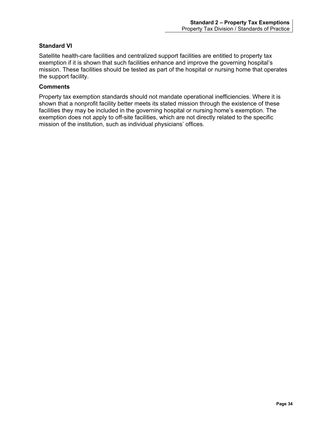#### **Standard VI**

Satellite health-care facilities and centralized support facilities are entitled to property tax exemption if it is shown that such facilities enhance and improve the governing hospital's mission. These facilities should be tested as part of the hospital or nursing home that operates the support facility.

#### **Comments**

<span id="page-38-0"></span>Property tax exemption standards should not mandate operational inefficiencies. Where it is shown that a nonprofit facility better meets its stated mission through the existence of these facilities they may be included in the governing hospital or nursing home's exemption. The exemption does not apply to off-site facilities, which are not directly related to the specific mission of the institution, such as individual physicians' offices.